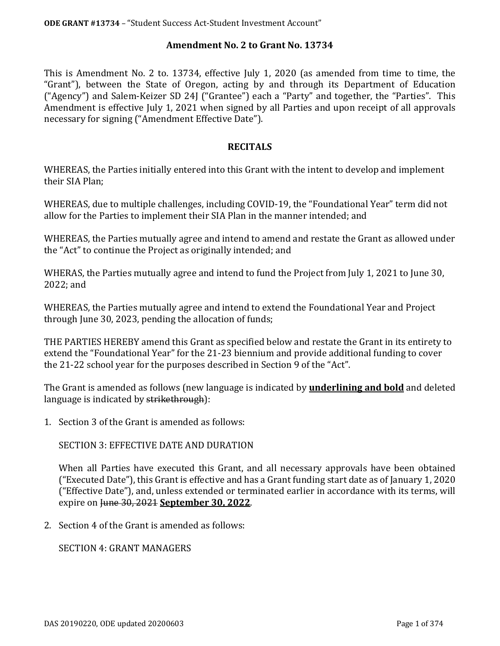#### **Amendment No. 2 to Grant No. 13734**

This is Amendment No. 2 to. 13734, effective July 1, 2020 (as amended from time to time, the "Grant"), between the State of Oregon, acting by and through its Department of Education ("Agency") and Salem-Keizer SD 24J ("Grantee") each a "Party" and together, the "Parties". This Amendment is effective July 1, 2021 when signed by all Parties and upon receipt of all approvals necessary for signing ("Amendment Effective Date").

#### **RECITALS**

WHEREAS, the Parties initially entered into this Grant with the intent to develop and implement their SIA Plan;

WHEREAS, due to multiple challenges, including COVID-19, the "Foundational Year" term did not allow for the Parties to implement their SIA Plan in the manner intended; and

WHEREAS, the Parties mutually agree and intend to amend and restate the Grant as allowed under the "Act" to continue the Project as originally intended; and

WHERAS, the Parties mutually agree and intend to fund the Project from July 1, 2021 to June 30, 2022; and

WHEREAS, the Parties mutually agree and intend to extend the Foundational Year and Project through June 30, 2023, pending the allocation of funds;

THE PARTIES HEREBY amend this Grant as specified below and restate the Grant in its entirety to extend the "Foundational Year" for the 21-23 biennium and provide additional funding to cover the 21-22 school year for the purposes described in Section 9 of the "Act".

The Grant is amended as follows (new language is indicated by **underlining and bold** and deleted language is indicated by strikethrough):

1. Section 3 of the Grant is amended as follows:

SECTION 3: EFFECTIVE DATE AND DURATION

When all Parties have executed this Grant, and all necessary approvals have been obtained ("Executed Date"), this Grant is effective and has a Grant funding start date as of January 1, 2020 ("Effective Date"), and, unless extended or terminated earlier in accordance with its terms, will expire on June 30, 2021 **September 30, 2022**.

2. Section 4 of the Grant is amended as follows:

SECTION 4: GRANT MANAGERS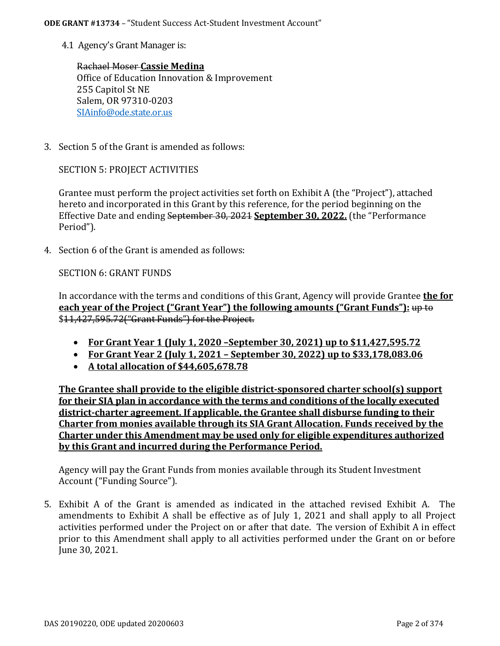4.1 Agency's Grant Manager is:

Rachael Moser **Cassie Medina** Office of Education Innovation & Improvement 255 Capitol St NE Salem, OR 97310-0203 [SIAinfo@ode.state.or.us](mailto:SIAinfo@ode.state.or.us)

3. Section 5 of the Grant is amended as follows:

SECTION 5: PROJECT ACTIVITIES

Grantee must perform the project activities set forth on Exhibit A (the "Project"), attached hereto and incorporated in this Grant by this reference, for the period beginning on the Effective Date and ending September 30, 2021 **September 30, 2022.** (the "Performance Period").

4. Section 6 of the Grant is amended as follows:

SECTION 6: GRANT FUNDS

In accordance with the terms and conditions of this Grant, Agency will provide Grantee **the for each year of the Project ("Grant Year") the following amounts ("Grant Funds"):** up to \$11,427,595.72("Grant Funds") for the Project.

- **For Grant Year 1 (July 1, 2020 –September 30, 2021) up to \$11,427,595.72**
- **For Grant Year 2 (July 1, 2021 – September 30, 2022) up to \$33,178,083.06**
- **A total allocation of \$44,605,678.78**

**The Grantee shall provide to the eligible district-sponsored charter school(s) support for their SIA plan in accordance with the terms and conditions of the locally executed district-charter agreement. If applicable, the Grantee shall disburse funding to their Charter from monies available through its SIA Grant Allocation. Funds received by the Charter under this Amendment may be used only for eligible expenditures authorized by this Grant and incurred during the Performance Period.**

Agency will pay the Grant Funds from monies available through its Student Investment Account ("Funding Source").

5. Exhibit A of the Grant is amended as indicated in the attached revised Exhibit A. The amendments to Exhibit A shall be effective as of July 1, 2021 and shall apply to all Project activities performed under the Project on or after that date. The version of Exhibit A in effect prior to this Amendment shall apply to all activities performed under the Grant on or before June 30, 2021.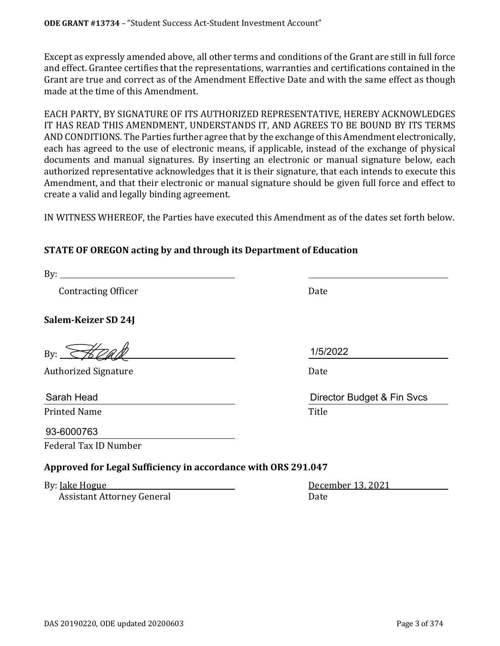Except as expressly amended above, all other terms and conditions of the Grant are still in full force and effect. Grantee certifies that the representations, warranties and certifications contained in the Grant are true and correct as of the Amendment Effective Date and with the same effect as though made at the time of this Amendment.

EACH PARTY, BY SIGNATURE OF ITS AUTHORIZED REPRESENTATIVE, HEREBY ACKNOWLEDGES IT HAS READ THIS AMENDMENT, UNDERSTANDS IT, AND AGREES TO BE BOUND BY ITS TERMS AND CONDITIONS. The Parties further agree that by the exchange of this Amendment electronically, each has agreed to the use of electronic means, if applicable, instead of the exchange of physical documents and manual signatures. By inserting an electronic or manual signature below, each authorized representative acknowledges that it is their signature, that each intends to execute this Amendment, and that their electronic or manual signature should be given full force and effect to create a valid and legally binding agreement.

IN WITNESS WHEREOF, the Parties have executed this Amendment as of the dates set forth below.

# **STATE OF OREGON acting by and through its Department of Education**

By:

Contracting Officer Date

**Salem-Keizer SD 24J**

By:  $\mathcal{H}$ pall

Authorized Signature **Date** Date **Date** 

Printed Name **Title** 

Federal Tax ID Number 93-6000763

# **Approved for Legal Sufficiency in accordance with ORS 291.047**

By: <u>Jake Hogue December 13, 2021</u><br>Assistant Attorney General Date Date Assistant Attorney General

1/5/2022

Sarah Head Director Budget & Fin Svcs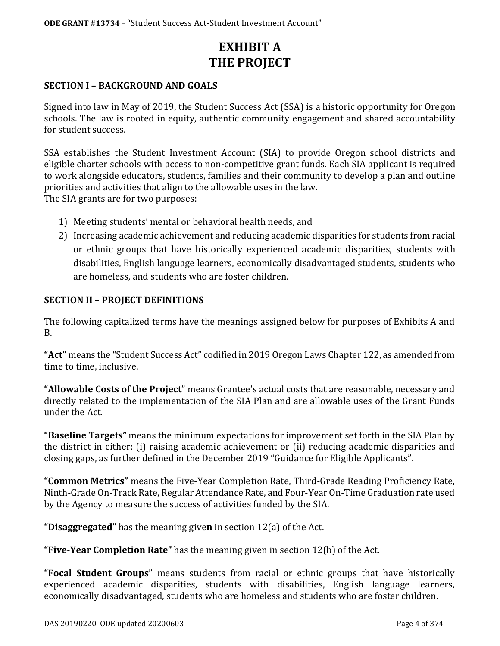# **EXHIBIT A THE PROJECT**

### **SECTION I – BACKGROUND AND GOALS**

Signed into law in May of 2019, the Student Success Act (SSA) is a historic opportunity for Oregon schools. The law is rooted in equity, authentic community engagement and shared accountability for student success.

SSA establishes the Student Investment Account (SIA) to provide Oregon school districts and eligible charter schools with access to non-competitive grant funds. Each SIA applicant is required to work alongside educators, students, families and their community to develop a plan and outline priorities and activities that align to the allowable uses in the law. The SIA grants are for two purposes:

- 1) Meeting students' mental or behavioral health needs, and
- 2) Increasing academic achievement and reducing academic disparities for students from racial or ethnic groups that have historically experienced academic disparities, students with disabilities, English language learners, economically disadvantaged students, students who are homeless, and students who are foster children.

#### **SECTION II – PROJECT DEFINITIONS**

The following capitalized terms have the meanings assigned below for purposes of Exhibits A and B.

**"Act"** means the "Student Success Act" codified in 2019 Oregon Laws Chapter 122, as amended from time to time, inclusive.

**"Allowable Costs of the Project**" means Grantee's actual costs that are reasonable, necessary and directly related to the implementation of the SIA Plan and are allowable uses of the Grant Funds under the Act.

**"Baseline Targets"** means the minimum expectations for improvement set forth in the SIA Plan by the district in either: (i) raising academic achievement or (ii) reducing academic disparities and closing gaps, as further defined in the December 2019 "Guidance for Eligible Applicants".

**"Common Metrics"** means the Five-Year Completion Rate, Third-Grade Reading Proficiency Rate, Ninth-Grade On-Track Rate, Regular Attendance Rate, and Four-Year On-Time Graduation rate used by the Agency to measure the success of activities funded by the SIA.

**"Disaggregated"** has the meaning give**n** in section 12(a) of the Act.

**"Five-Year Completion Rate"** has the meaning given in section 12(b) of the Act.

**"Focal Student Groups"** means students from racial or ethnic groups that have historically experienced academic disparities, students with disabilities, English language learners, economically disadvantaged, students who are homeless and students who are foster children.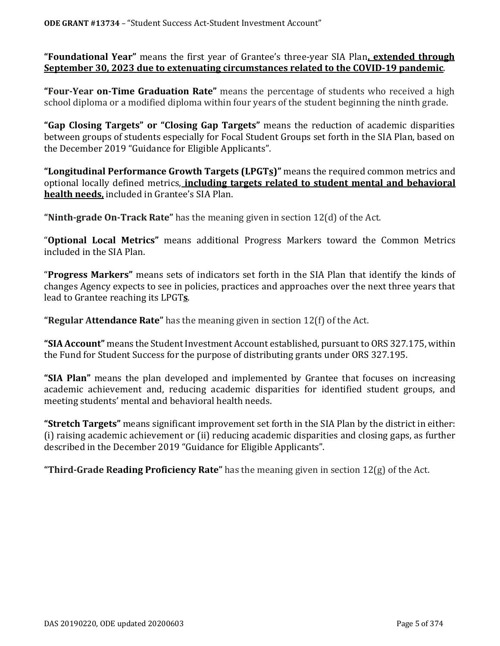**"Foundational Year"** means the first year of Grantee's three-year SIA Plan**, extended through September 30, 2023 due to extenuating circumstances related to the COVID-19 pandemic**.

**"Four-Year on-Time Graduation Rate"** means the percentage of students who received a high school diploma or a modified diploma within four years of the student beginning the ninth grade.

**"Gap Closing Targets" or "Closing Gap Targets"** means the reduction of academic disparities between groups of students especially for Focal Student Groups set forth in the SIA Plan, based on the December 2019 "Guidance for Eligible Applicants".

**"Longitudinal Performance Growth Targets (LPGTs)"** means the required common metrics and optional locally defined metrics, **including targets related to student mental and behavioral health needs,** included in Grantee's SIA Plan.

**"Ninth-grade On-Track Rate"** has the meaning given in section 12(d) of the Act.

"**Optional Local Metrics"** means additional Progress Markers toward the Common Metrics included in the SIA Plan.

"**Progress Markers"** means sets of indicators set forth in the SIA Plan that identify the kinds of changes Agency expects to see in policies, practices and approaches over the next three years that lead to Grantee reaching its LPGT**s**.

**"Regular Attendance Rate"** has the meaning given in section 12(f) of the Act.

**"SIA Account"** means the Student Investment Account established, pursuant to ORS 327.175, within the Fund for Student Success for the purpose of distributing grants under ORS 327.195.

**"SIA Plan"** means the plan developed and implemented by Grantee that focuses on increasing academic achievement and, reducing academic disparities for identified student groups, and meeting students' mental and behavioral health needs.

**"Stretch Targets"** means significant improvement set forth in the SIA Plan by the district in either: (i) raising academic achievement or (ii) reducing academic disparities and closing gaps, as further described in the December 2019 "Guidance for Eligible Applicants".

**"Third-Grade Reading Proficiency Rate"** has the meaning given in section 12(g) of the Act.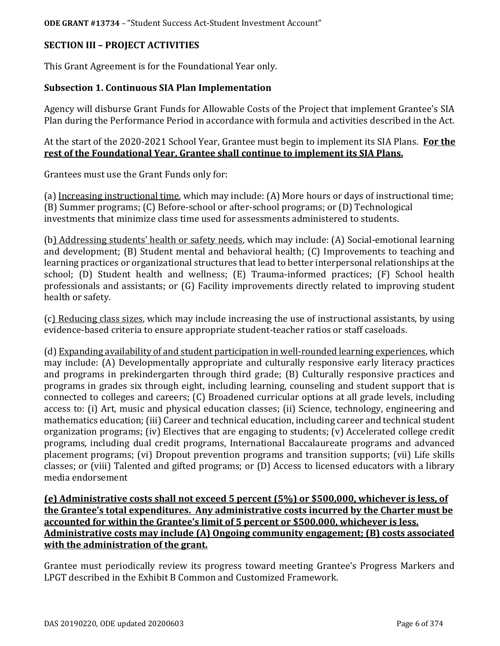## **SECTION III – PROJECT ACTIVITIES**

This Grant Agreement is for the Foundational Year only.

## **Subsection 1. Continuous SIA Plan Implementation**

Agency will disburse Grant Funds for Allowable Costs of the Project that implement Grantee's SIA Plan during the Performance Period in accordance with formula and activities described in the Act.

At the start of the 2020-2021 School Year, Grantee must begin to implement its SIA Plans. **For the rest of the Foundational Year, Grantee shall continue to implement its SIA Plans.**

Grantees must use the Grant Funds only for:

(a) Increasing instructional time, which may include: (A) More hours or days of instructional time; (B) Summer programs; (C) Before-school or after-school programs; or (D) Technological investments that minimize class time used for assessments administered to students.

(b) Addressing students' health or safety needs, which may include: (A) Social-emotional learning and development; (B) Student mental and behavioral health; (C) Improvements to teaching and learning practices or organizational structures that lead to better interpersonal relationships at the school; (D) Student health and wellness; (E) Trauma-informed practices; (F) School health professionals and assistants; or (G) Facility improvements directly related to improving student health or safety.

(c) Reducing class sizes, which may include increasing the use of instructional assistants, by using evidence-based criteria to ensure appropriate student-teacher ratios or staff caseloads.

(d) Expanding availability of and student participation in well-rounded learning experiences, which may include: (A) Developmentally appropriate and culturally responsive early literacy practices and programs in prekindergarten through third grade; (B) Culturally responsive practices and programs in grades six through eight, including learning, counseling and student support that is connected to colleges and careers; (C) Broadened curricular options at all grade levels, including access to: (i) Art, music and physical education classes; (ii) Science, technology, engineering and mathematics education; (iii) Career and technical education, including career and technical student organization programs; (iv) Electives that are engaging to students; (v) Accelerated college credit programs, including dual credit programs, International Baccalaureate programs and advanced placement programs; (vi) Dropout prevention programs and transition supports; (vii) Life skills classes; or (viii) Talented and gifted programs; or (D) Access to licensed educators with a library media endorsement

**(e) Administrative costs shall not exceed 5 percent (5%) or \$500,000, whichever is less, of the Grantee's total expenditures. Any administrative costs incurred by the Charter must be accounted for within the Grantee's limit of 5 percent or \$500,000, whichever is less. Administrative costs may include (A) Ongoing community engagement; (B) costs associated with the administration of the grant.** 

Grantee must periodically review its progress toward meeting Grantee's Progress Markers and LPGT described in the Exhibit B Common and Customized Framework.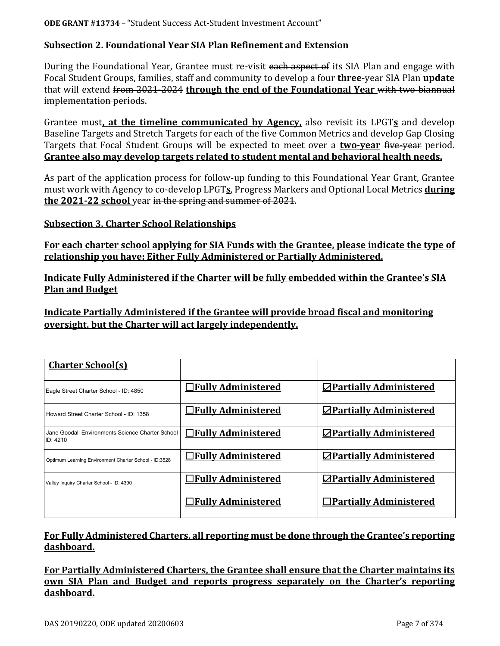## **Subsection 2. Foundational Year SIA Plan Refinement and Extension**

During the Foundational Year, Grantee must re-visit each aspect of its SIA Plan and engage with Focal Student Groups, families, staff and community to develop a four **three**-year SIA Plan **update** that will extend from 2021-2024 **through the end of the Foundational Year** with two biannual implementation periods.

Grantee must**, at the timeline communicated by Agency,** also revisit its LPGT**s** and develop Baseline Targets and Stretch Targets for each of the five Common Metrics and develop Gap Closing Targets that Focal Student Groups will be expected to meet over a **two-year** five-year period. **Grantee also may develop targets related to student mental and behavioral health needs.**

As part of the application process for follow-up funding to this Foundational Year Grant, Grantee must work with Agency to co-develop LPGT**s**, Progress Markers and Optional Local Metrics **during the 2021-22 school** year in the spring and summer of 2021.

#### **Subsection 3. Charter School Relationships**

**For each charter school applying for SIA Funds with the Grantee, please indicate the type of relationship you have: Either Fully Administered or Partially Administered.**

**Indicate Fully Administered if the Charter will be fully embedded within the Grantee's SIA Plan and Budget**

**Indicate Partially Administered if the Grantee will provide broad fiscal and monitoring oversight, but the Charter will act largely independently.** 

| <b>Charter School(s)</b>                                     |                            |                                |
|--------------------------------------------------------------|----------------------------|--------------------------------|
| Eagle Street Charter School - ID: 4850                       | <b>Trully Administered</b> | $\Box$ Partially Administered  |
| Howard Street Charter School - ID: 1358                      | <b>OFully Administered</b> | <b>ZPartially Administered</b> |
| Jane Goodall Environments Science Charter School<br>ID: 4210 | $\Box$ Fully Administered  | <b>⊘Partially Administered</b> |
| Optimum Learning Environment Charter School - ID:3528        | <b>Trully Administered</b> | <b>ZPartially Administered</b> |
| Valley Inquiry Charter School - ID: 4390                     | □Fully Administered        | <b>ZPartially Administered</b> |
|                                                              | $\Box$ Fully Administered  | $\Box$ Partially Administered  |

## **For Fully Administered Charters, all reporting must be done through the Grantee's reporting dashboard.**

**For Partially Administered Charters, the Grantee shall ensure that the Charter maintains its own SIA Plan and Budget and reports progress separately on the Charter's reporting dashboard.**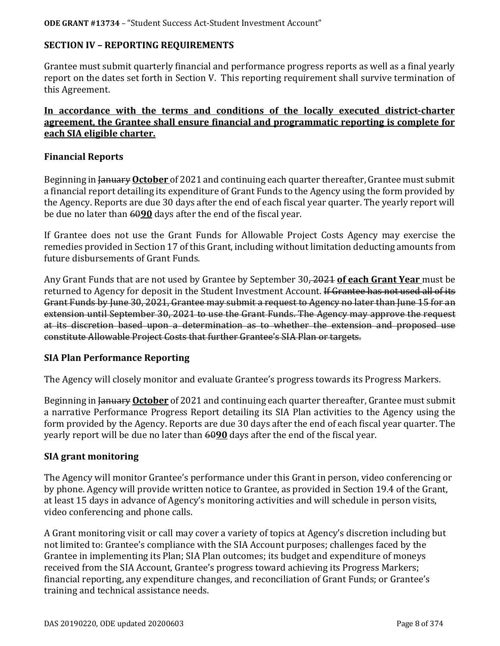## **SECTION IV – REPORTING REQUIREMENTS**

Grantee must submit quarterly financial and performance progress reports as well as a final yearly report on the dates set forth in Section V. This reporting requirement shall survive termination of this Agreement.

## **In accordance with the terms and conditions of the locally executed district-charter agreement, the Grantee shall ensure financial and programmatic reporting is complete for each SIA eligible charter.**

### **Financial Reports**

Beginning in January **October** of 2021 and continuing each quarter thereafter, Grantee must submit a financial report detailing its expenditure of Grant Funds to the Agency using the form provided by the Agency. Reports are due 30 days after the end of each fiscal year quarter. The yearly report will be due no later than 60**90** days after the end of the fiscal year.

If Grantee does not use the Grant Funds for Allowable Project Costs Agency may exercise the remedies provided in Section 17 of this Grant, including without limitation deducting amounts from future disbursements of Grant Funds.

Any Grant Funds that are not used by Grantee by September 30, 2021 **of each Grant Year** must be returned to Agency for deposit in the Student Investment Account. If Grantee has not used all of its Grant Funds by June 30, 2021, Grantee may submit a request to Agency no later than June 15 for an extension until September 30, 2021 to use the Grant Funds. The Agency may approve the request at its discretion based upon a determination as to whether the extension and proposed use constitute Allowable Project Costs that further Grantee's SIA Plan or targets.

## **SIA Plan Performance Reporting**

The Agency will closely monitor and evaluate Grantee's progress towards its Progress Markers.

Beginning in January **October** of 2021 and continuing each quarter thereafter, Grantee must submit a narrative Performance Progress Report detailing its SIA Plan activities to the Agency using the form provided by the Agency. Reports are due 30 days after the end of each fiscal year quarter. The yearly report will be due no later than 60**90** days after the end of the fiscal year.

#### **SIA grant monitoring**

The Agency will monitor Grantee's performance under this Grant in person, video conferencing or by phone. Agency will provide written notice to Grantee, as provided in Section 19.4 of the Grant, at least 15 days in advance of Agency's monitoring activities and will schedule in person visits, video conferencing and phone calls.

A Grant monitoring visit or call may cover a variety of topics at Agency's discretion including but not limited to: Grantee's compliance with the SIA Account purposes; challenges faced by the Grantee in implementing its Plan; SIA Plan outcomes; its budget and expenditure of moneys received from the SIA Account, Grantee's progress toward achieving its Progress Markers; financial reporting, any expenditure changes, and reconciliation of Grant Funds; or Grantee's training and technical assistance needs.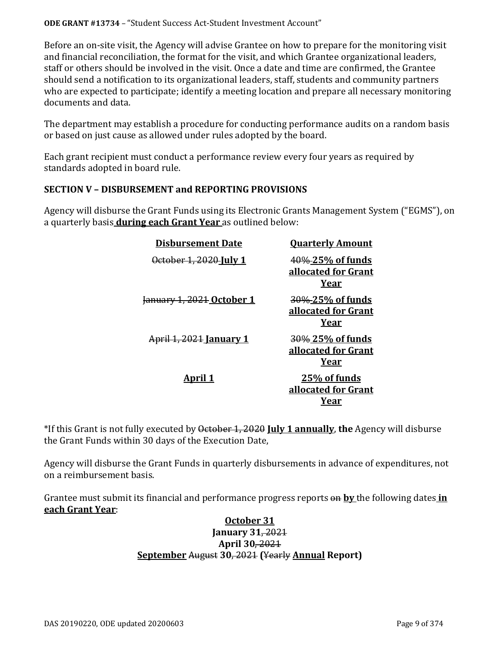Before an on-site visit, the Agency will advise Grantee on how to prepare for the monitoring visit and financial reconciliation, the format for the visit, and which Grantee organizational leaders, staff or others should be involved in the visit. Once a date and time are confirmed, the Grantee should send a notification to its organizational leaders, staff, students and community partners who are expected to participate; identify a meeting location and prepare all necessary monitoring documents and data.

The department may establish a procedure for conducting performance audits on a random basis or based on just cause as allowed under rules adopted by the board.

Each grant recipient must conduct a performance review every four years as required by standards adopted in board rule.

## **SECTION V – DISBURSEMENT and REPORTING PROVISIONS**

Agency will disburse the Grant Funds using its Electronic Grants Management System ("EGMS"), on a quarterly basis **during each Grant Year** as outlined below:

| <b>Disbursement Date</b>  | <b>Ouarterly Amount</b>                         |
|---------------------------|-------------------------------------------------|
| October 1, 2020 July 1    | 40%-25% of funds<br>allocated for Grant<br>Year |
| January 1, 2021 October 1 | 30%-25% of funds<br>allocated for Grant<br>Year |
| April 1, 2021 January 1   | 30% 25% of funds<br>allocated for Grant<br>Year |
| <u>April 1</u>            | 25% of funds<br>allocated for Grant<br>Year     |

\*If this Grant is not fully executed by October 1, 2020 **July 1 annually**, **the** Agency will disburse the Grant Funds within 30 days of the Execution Date,

Agency will disburse the Grant Funds in quarterly disbursements in advance of expenditures, not on a reimbursement basis.

Grantee must submit its financial and performance progress reports on **by** the following dates **in each Grant Year**:

## **October 31 January 31**, 2021 **April 30**, 2021 **September** August **30**, 2021 **(**Yearly **Annual Report)**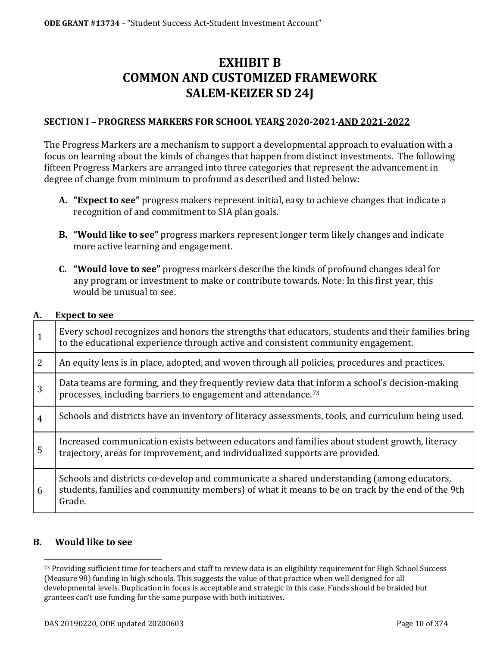# **EXHIBIT B COMMON AND CUSTOMIZED FRAMEWORK SALEM-KEIZER SD 24J**

## **SECTION I – PROGRESS MARKERS FOR SCHOOL YEARS 2020-2021 AND 2021-2022**

The Progress Markers are a mechanism to support a developmental approach to evaluation with a focus on learning about the kinds of changes that happen from distinct investments. The following fifteen Progress Markers are arranged into three categories that represent the advancement in degree of change from minimum to profound as described and listed below:

- **A. "Expect to see"** progress makers represent initial, easy to achieve changes that indicate a recognition of and commitment to SIA plan goals.
- **B. "Would like to see"** progress markers represent longer term likely changes and indicate more active learning and engagement.
- **C. "Would love to see"** progress markers describe the kinds of profound changes ideal for any program or investment to make or contribute towards. Note: In this first year, this would be unusual to see.

#### **A. Expect to see**

| 1              | Every school recognizes and honors the strengths that educators, students and their families bring<br>to the educational experience through active and consistent community engagement.                |
|----------------|--------------------------------------------------------------------------------------------------------------------------------------------------------------------------------------------------------|
| $\overline{2}$ | An equity lens is in place, adopted, and woven through all policies, procedures and practices.                                                                                                         |
| 3              | Data teams are forming, and they frequently review data that inform a school's decision-making<br>processes, including barriers to engagement and attendance. <sup>73</sup>                            |
| $\overline{4}$ | Schools and districts have an inventory of literacy assessments, tools, and curriculum being used.                                                                                                     |
| 5              | Increased communication exists between educators and families about student growth, literacy<br>trajectory, areas for improvement, and individualized supports are provided.                           |
| 6              | Schools and districts co-develop and communicate a shared understanding (among educators,<br>students, families and community members) of what it means to be on track by the end of the 9th<br>Grade. |

#### <span id="page-9-0"></span>**B. Would like to see**

<sup>&</sup>lt;sup>73</sup> Providing sufficient time for teachers and staff to review data is an eligibility requirement for High School Success (Measure 98) funding in high schools. This suggests the value of that practice when well designed for all developmental levels. Duplication in focus is acceptable and strategic in this case. Funds should be braided but grantees can't use funding for the same purpose with both initiatives.